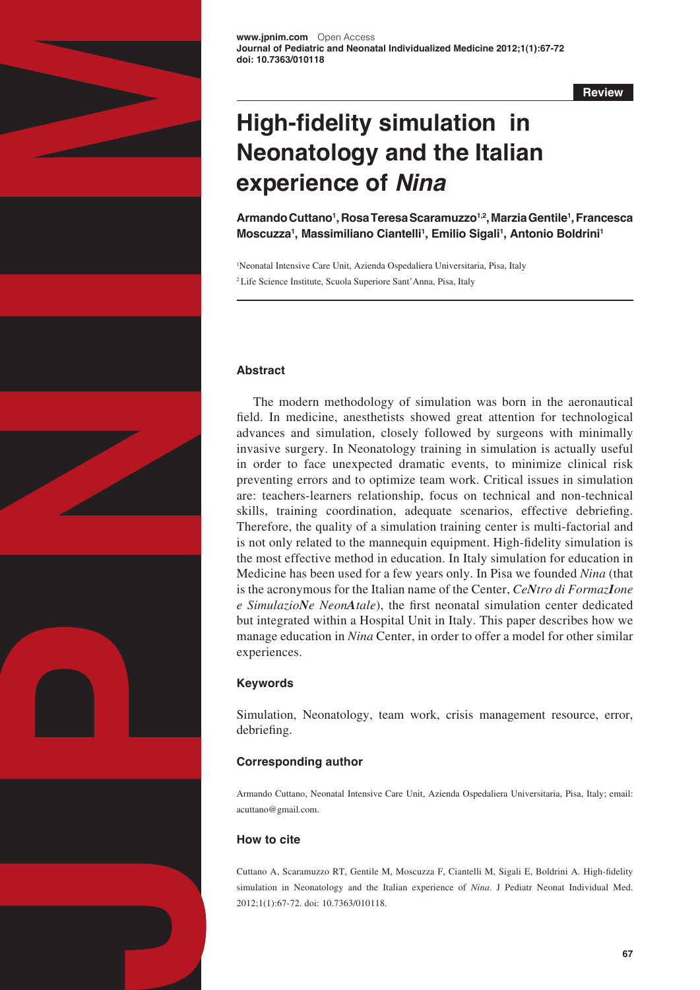

**Review**

# **High-fidelity simulation in Neonatology and the Italian experience of** *Nina*

**Armando Cuttano1 , Rosa Teresa Scaramuzzo1,2, Marzia Gentile1 , Francesca Moscuzza<sup>1</sup> , Massimiliano Ciantelli<sup>1</sup> , Emilio Sigali<sup>1</sup> , Antonio Boldrini1**

<sup>1</sup>Neonatal Intensive Care Unit, Azienda Ospedaliera Universitaria, Pisa, Italy 2 Life Science Institute, Scuola Superiore Sant'Anna, Pisa, Italy

## **Abstract**

The modern methodology of simulation was born in the aeronautical field. In medicine, anesthetists showed great attention for technological advances and simulation, closely followed by surgeons with minimally invasive surgery. In Neonatology training in simulation is actually useful in order to face unexpected dramatic events, to minimize clinical risk preventing errors and to optimize team work. Critical issues in simulation are: teachers-learners relationship, focus on technical and non-technical skills, training coordination, adequate scenarios, effective debriefing. Therefore, the quality of a simulation training center is multi-factorial and is not only related to the mannequin equipment. High-fidelity simulation is the most effective method in education. In Italy simulation for education in Medicine has been used for a few years only. In Pisa we founded *Nina* (that is the acronymous for the Italian name of the Center, *CeNtro di FormazIone e SimulazioNe NeonAtale*), the first neonatal simulation center dedicated but integrated within a Hospital Unit in Italy. This paper describes how we manage education in *Nina* Center, in order to offer a model for other similar experiences.

# **Keywords**

Simulation, Neonatology, team work, crisis management resource, error, debriefing.

# **Corresponding author**

Armando Cuttano, Neonatal Intensive Care Unit, Azienda Ospedaliera Universitaria, Pisa, Italy; email: [acuttano@gmail.com.](mailto:acuttano@gmail.com)

# **How to cite**

Cuttano A, Scaramuzzo RT, Gentile M, Moscuzza F, Ciantelli M, Sigali E, Boldrini A. High-fidelity simulation in Neonatology and the Italian experience of *Nina*. J Pediatr Neonat Individual Med. 2012;1(1):67-72. doi: 10.7363/010118.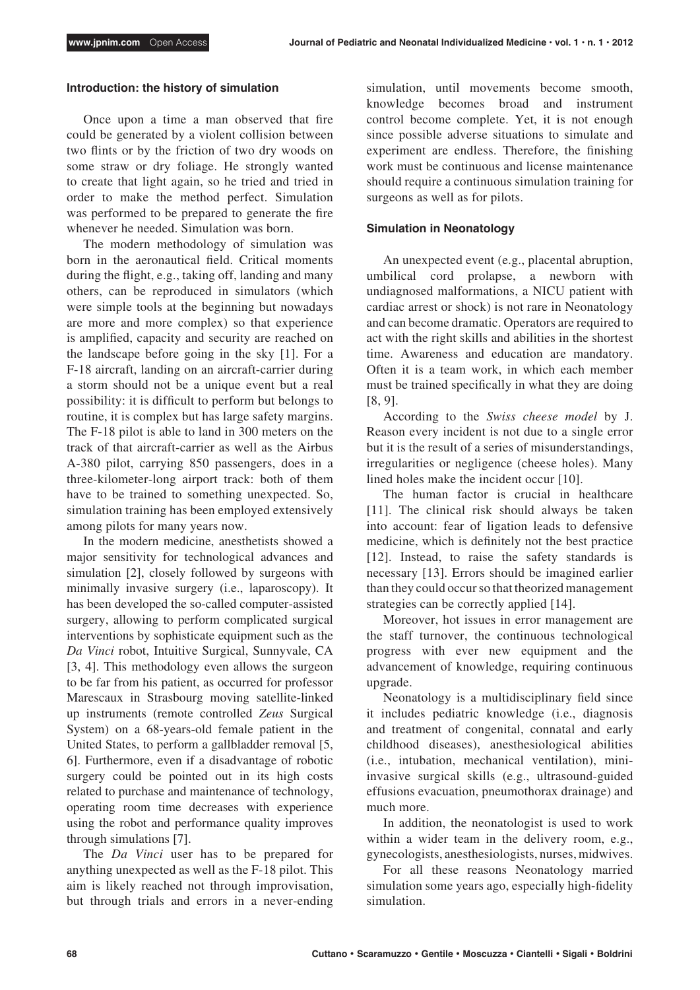#### **Introduction: the history of simulation**

Once upon a time a man observed that fire could be generated by a violent collision between two flints or by the friction of two dry woods on some straw or dry foliage. He strongly wanted to create that light again, so he tried and tried in order to make the method perfect. Simulation was performed to be prepared to generate the fire whenever he needed. Simulation was born.

The modern methodology of simulation was born in the aeronautical field. Critical moments during the flight, e.g., taking off, landing and many others, can be reproduced in simulators (which were simple tools at the beginning but nowadays are more and more complex) so that experience is amplified, capacity and security are reached on the landscape before going in the sky [1]. For a F-18 aircraft, landing on an aircraft-carrier during a storm should not be a unique event but a real possibility: it is difficult to perform but belongs to routine, it is complex but has large safety margins. The F-18 pilot is able to land in 300 meters on the track of that aircraft-carrier as well as the Airbus A-380 pilot, carrying 850 passengers, does in a three-kilometer-long airport track: both of them have to be trained to something unexpected. So, simulation training has been employed extensively among pilots for many years now.

In the modern medicine, anesthetists showed a major sensitivity for technological advances and simulation [2], closely followed by surgeons with minimally invasive surgery (i.e., laparoscopy). It has been developed the so-called computer-assisted surgery, allowing to perform complicated surgical interventions by sophisticate equipment such as the *Da Vinci* robot, Intuitive Surgical, Sunnyvale, CA [3, 4]. This methodology even allows the surgeon to be far from his patient, as occurred for professor Marescaux in Strasbourg moving satellite-linked up instruments (remote controlled *Zeus* Surgical System) on a 68-years-old female patient in the United States, to perform a gallbladder removal [5, 6]. Furthermore, even if a disadvantage of robotic surgery could be pointed out in its high costs related to purchase and maintenance of technology, operating room time decreases with experience using the robot and performance quality improves through simulations [7].

The *Da Vinci* user has to be prepared for anything unexpected as well as the F-18 pilot. This aim is likely reached not through improvisation, but through trials and errors in a never-ending simulation, until movements become smooth, knowledge becomes broad and instrument control become complete. Yet, it is not enough since possible adverse situations to simulate and experiment are endless. Therefore, the finishing work must be continuous and license maintenance should require a continuous simulation training for surgeons as well as for pilots.

#### **Simulation in Neonatology**

An unexpected event (e.g., placental abruption, umbilical cord prolapse, a newborn with undiagnosed malformations, a NICU patient with cardiac arrest or shock) is not rare in Neonatology and can become dramatic. Operators are required to act with the right skills and abilities in the shortest time. Awareness and education are mandatory. Often it is a team work, in which each member must be trained specifically in what they are doing [8, 9].

According to the *Swiss cheese model* by J. Reason every incident is not due to a single error but it is the result of a series of misunderstandings, irregularities or negligence (cheese holes). Many lined holes make the incident occur [10].

The human factor is crucial in healthcare [11]. The clinical risk should always be taken into account: fear of ligation leads to defensive medicine, which is definitely not the best practice [12]. Instead, to raise the safety standards is necessary [13]. Errors should be imagined earlier than they could occur so that theorized management strategies can be correctly applied [14].

Moreover, hot issues in error management are the staff turnover, the continuous technological progress with ever new equipment and the advancement of knowledge, requiring continuous upgrade.

Neonatology is a multidisciplinary field since it includes pediatric knowledge (i.e., diagnosis and treatment of congenital, connatal and early childhood diseases), anesthesiological abilities (i.e., intubation, mechanical ventilation), miniinvasive surgical skills (e.g., ultrasound-guided effusions evacuation, pneumothorax drainage) and much more.

In addition, the neonatologist is used to work within a wider team in the delivery room, e.g., gynecologists, anesthesiologists, nurses, midwives.

For all these reasons Neonatology married simulation some years ago, especially high-fidelity simulation.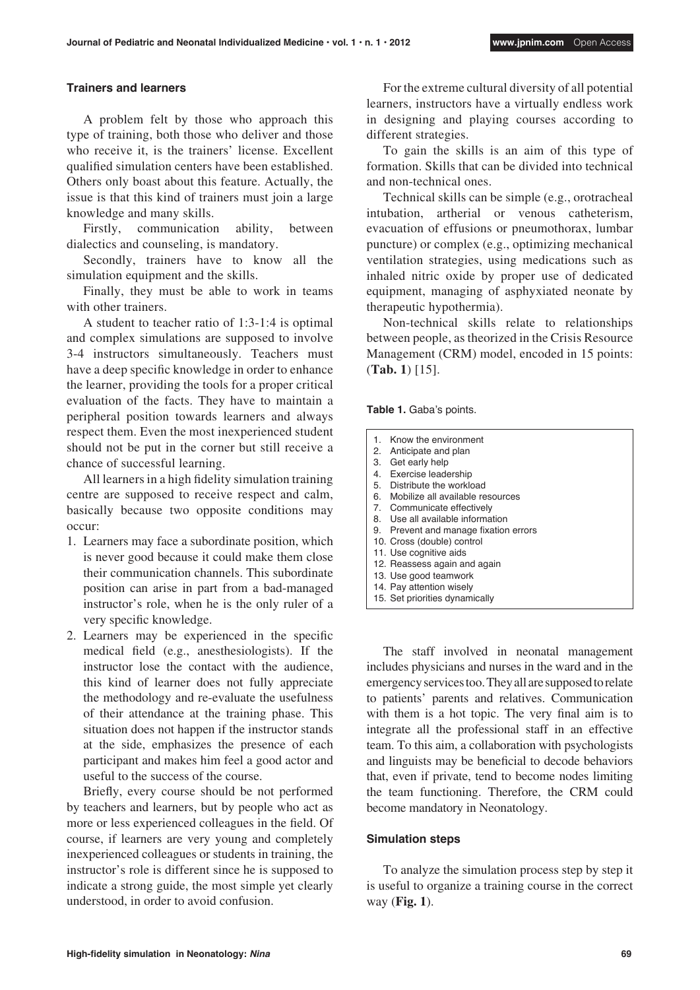#### **Trainers and learners**

A problem felt by those who approach this type of training, both those who deliver and those who receive it, is the trainers' license. Excellent qualified simulation centers have been established. Others only boast about this feature. Actually, the issue is that this kind of trainers must join a large knowledge and many skills.

Firstly, communication ability, between dialectics and counseling, is mandatory.

Secondly, trainers have to know all the simulation equipment and the skills.

Finally, they must be able to work in teams with other trainers.

A student to teacher ratio of 1:3-1:4 is optimal and complex simulations are supposed to involve 3-4 instructors simultaneously. Teachers must have a deep specific knowledge in order to enhance the learner, providing the tools for a proper critical evaluation of the facts. They have to maintain a peripheral position towards learners and always respect them. Even the most inexperienced student should not be put in the corner but still receive a chance of successful learning.

All learners in a high fidelity simulation training centre are supposed to receive respect and calm, basically because two opposite conditions may occur:

- 1. Learners may face a subordinate position, which is never good because it could make them close their communication channels. This subordinate position can arise in part from a bad-managed instructor's role, when he is the only ruler of a very specific knowledge.
- 2. Learners may be experienced in the specific medical field (e.g., anesthesiologists). If the instructor lose the contact with the audience, this kind of learner does not fully appreciate the methodology and re-evaluate the usefulness of their attendance at the training phase. This situation does not happen if the instructor stands at the side, emphasizes the presence of each participant and makes him feel a good actor and useful to the success of the course.

Briefly, every course should be not performed by teachers and learners, but by people who act as more or less experienced colleagues in the field. Of course, if learners are very young and completely inexperienced colleagues or students in training, the instructor's role is different since he is supposed to indicate a strong guide, the most simple yet clearly understood, in order to avoid confusion.

For the extreme cultural diversity of all potential learners, instructors have a virtually endless work in designing and playing courses according to different strategies.

To gain the skills is an aim of this type of formation. Skills that can be divided into technical and non-technical ones.

Technical skills can be simple (e.g., orotracheal intubation, artherial or venous catheterism, evacuation of effusions or pneumothorax, lumbar puncture) or complex (e.g., optimizing mechanical ventilation strategies, using medications such as inhaled nitric oxide by proper use of dedicated equipment, managing of asphyxiated neonate by therapeutic hypothermia).

Non-technical skills relate to relationships between people, as theorized in the Crisis Resource Management (CRM) model, encoded in 15 points: (**Tab. 1**) [15].

**Table 1.** Gaba's points.

| 1. | Know the environment                  |
|----|---------------------------------------|
| 2. | Anticipate and plan                   |
| 3. | Get early help                        |
|    | 4. Exercise leadership                |
|    | 5. Distribute the workload            |
|    | 6. Mobilize all available resources   |
|    | 7. Communicate effectively            |
|    | 8. Use all available information      |
|    | 9. Prevent and manage fixation errors |
|    | 10. Cross (double) control            |
|    | 11. Use cognitive aids                |
|    | 12. Reassess again and again          |
|    | 13. Use good teamwork                 |
|    | 14. Pay attention wisely              |
|    | 15. Set priorities dynamically        |

The staff involved in neonatal management includes physicians and nurses in the ward and in the emergency services too. They all are supposed to relate to patients' parents and relatives. Communication with them is a hot topic. The very final aim is to integrate all the professional staff in an effective team. To this aim, a collaboration with psychologists and linguists may be beneficial to decode behaviors that, even if private, tend to become nodes limiting the team functioning. Therefore, the CRM could become mandatory in Neonatology.

#### **Simulation steps**

To analyze the simulation process step by step it is useful to organize a training course in the correct way (**Fig. 1**).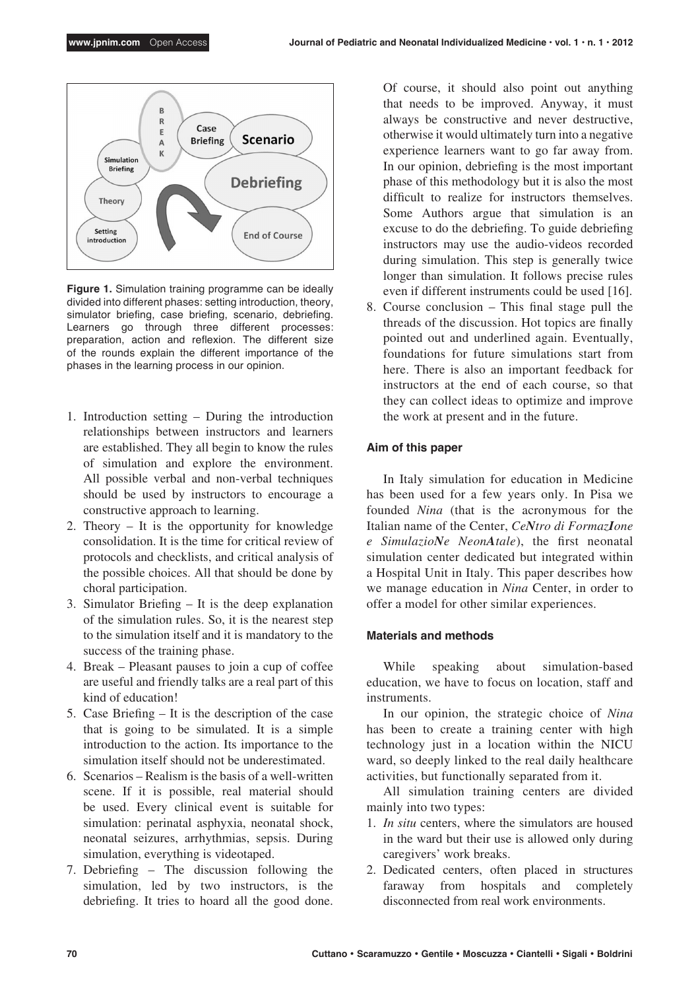

**Figure 1.** Simulation training programme can be ideally divided into different phases: setting introduction, theory, simulator briefing, case briefing, scenario, debriefing. Learners go through three different processes: preparation, action and reflexion. The different size of the rounds explain the different importance of the phases in the learning process in our opinion.

- 1. Introduction setting During the introduction relationships between instructors and learners are established. They all begin to know the rules of simulation and explore the environment. All possible verbal and non-verbal techniques should be used by instructors to encourage a constructive approach to learning.
- 2. Theory It is the opportunity for knowledge consolidation. It is the time for critical review of protocols and checklists, and critical analysis of the possible choices. All that should be done by choral participation.
- 3. Simulator Briefing It is the deep explanation of the simulation rules. So, it is the nearest step to the simulation itself and it is mandatory to the success of the training phase.
- 4. Break Pleasant pauses to join a cup of coffee are useful and friendly talks are a real part of this kind of education!
- 5. Case Briefing It is the description of the case that is going to be simulated. It is a simple introduction to the action. Its importance to the simulation itself should not be underestimated.
- 6. Scenarios Realism is the basis of a well-written scene. If it is possible, real material should be used. Every clinical event is suitable for simulation: perinatal asphyxia, neonatal shock, neonatal seizures, arrhythmias, sepsis. During simulation, everything is videotaped.
- 7. Debriefing The discussion following the simulation, led by two instructors, is the debriefing. It tries to hoard all the good done.

Of course, it should also point out anything that needs to be improved. Anyway, it must always be constructive and never destructive, otherwise it would ultimately turn into a negative experience learners want to go far away from. In our opinion, debriefing is the most important phase of this methodology but it is also the most difficult to realize for instructors themselves. Some Authors argue that simulation is an excuse to do the debriefing. To guide debriefing instructors may use the audio-videos recorded during simulation. This step is generally twice longer than simulation. It follows precise rules even if different instruments could be used [16].

8. Course conclusion – This final stage pull the threads of the discussion. Hot topics are finally pointed out and underlined again. Eventually, foundations for future simulations start from here. There is also an important feedback for instructors at the end of each course, so that they can collect ideas to optimize and improve the work at present and in the future.

## **Aim of this paper**

In Italy simulation for education in Medicine has been used for a few years only. In Pisa we founded *Nina* (that is the acronymous for the Italian name of the Center, *CeNtro di FormazIone e SimulazioNe NeonAtale*), the first neonatal simulation center dedicated but integrated within a Hospital Unit in Italy. This paper describes how we manage education in *Nina* Center, in order to offer a model for other similar experiences.

## **Materials and methods**

While speaking about simulation-based education, we have to focus on location, staff and instruments.

In our opinion, the strategic choice of *Nina* has been to create a training center with high technology just in a location within the NICU ward, so deeply linked to the real daily healthcare activities, but functionally separated from it.

All simulation training centers are divided mainly into two types:

- 1. *In situ* centers, where the simulators are housed in the ward but their use is allowed only during caregivers' work breaks.
- 2. Dedicated centers, often placed in structures faraway from hospitals and completely disconnected from real work environments.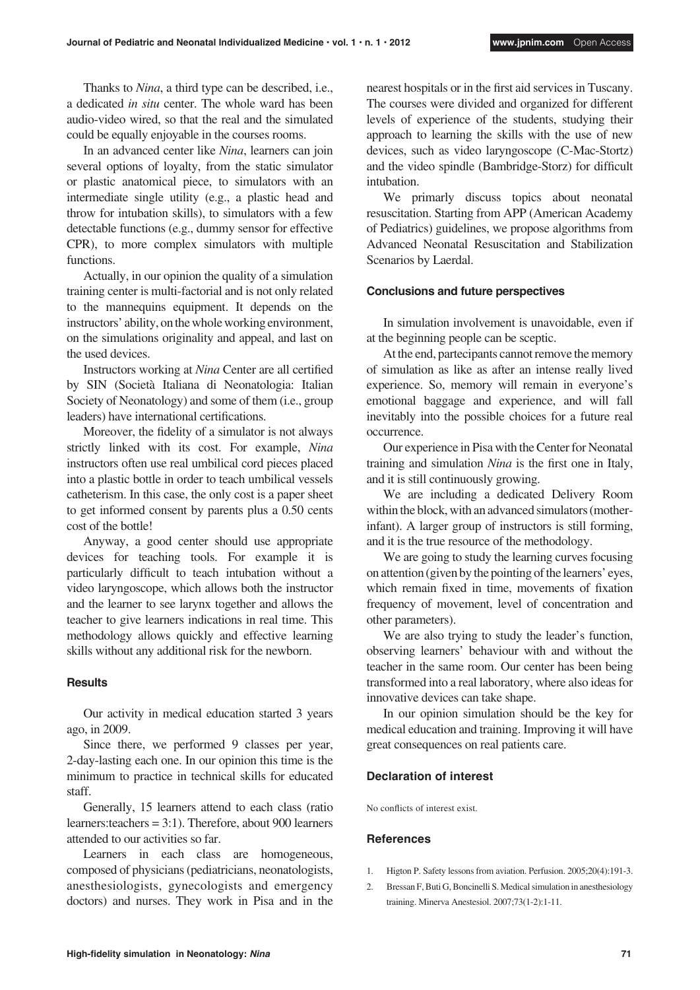Thanks to *Nina*, a third type can be described, i.e., a dedicated *in situ* center. The whole ward has been audio-video wired, so that the real and the simulated could be equally enjoyable in the courses rooms.

In an advanced center like *Nina*, learners can join several options of loyalty, from the static simulator or plastic anatomical piece, to simulators with an intermediate single utility (e.g., a plastic head and throw for intubation skills), to simulators with a few detectable functions (e.g., dummy sensor for effective CPR), to more complex simulators with multiple functions.

Actually, in our opinion the quality of a simulation training center is multi-factorial and is not only related to the mannequins equipment. It depends on the instructors' ability, on the whole working environment, on the simulations originality and appeal, and last on the used devices.

Instructors working at *Nina* Center are all certified by SIN (Società Italiana di Neonatologia: Italian Society of Neonatology) and some of them (i.e., group leaders) have international certifications.

Moreover, the fidelity of a simulator is not always strictly linked with its cost. For example, *Nina* instructors often use real umbilical cord pieces placed into a plastic bottle in order to teach umbilical vessels catheterism. In this case, the only cost is a paper sheet to get informed consent by parents plus a 0.50 cents cost of the bottle!

Anyway, a good center should use appropriate devices for teaching tools. For example it is particularly difficult to teach intubation without a video laryngoscope, which allows both the instructor and the learner to see larynx together and allows the teacher to give learners indications in real time. This methodology allows quickly and effective learning skills without any additional risk for the newborn.

#### **Results**

Our activity in medical education started 3 years ago, in 2009.

Since there, we performed 9 classes per year, 2-day-lasting each one. In our opinion this time is the minimum to practice in technical skills for educated staff.

Generally, 15 learners attend to each class (ratio learners:teachers = 3:1). Therefore, about 900 learners attended to our activities so far.

Learners in each class are homogeneous, composed of physicians (pediatricians, neonatologists, anesthesiologists, gynecologists and emergency doctors) and nurses. They work in Pisa and in the

nearest hospitals or in the first aid services in Tuscany. The courses were divided and organized for different levels of experience of the students, studying their approach to learning the skills with the use of new devices, such as video laryngoscope (C-Mac-Stortz) and the video spindle (Bambridge-Storz) for difficult intubation.

We primarly discuss topics about neonatal resuscitation. Starting from APP (American Academy of Pediatrics) guidelines, we propose algorithms from Advanced Neonatal Resuscitation and Stabilization Scenarios by Laerdal.

#### **Conclusions and future perspectives**

In simulation involvement is unavoidable, even if at the beginning people can be sceptic.

At the end, partecipants cannot remove the memory of simulation as like as after an intense really lived experience. So, memory will remain in everyone's emotional baggage and experience, and will fall inevitably into the possible choices for a future real occurrence.

Our experience in Pisa with the Center for Neonatal training and simulation *Nina* is the first one in Italy, and it is still continuously growing.

We are including a dedicated Delivery Room within the block, with an advanced simulators (motherinfant). A larger group of instructors is still forming, and it is the true resource of the methodology.

We are going to study the learning curves focusing on attention (given by the pointing of the learners' eyes, which remain fixed in time, movements of fixation frequency of movement, level of concentration and other parameters).

We are also trying to study the leader's function, observing learners' behaviour with and without the teacher in the same room. Our center has been being transformed into a real laboratory, where also ideas for innovative devices can take shape.

In our opinion simulation should be the key for medical education and training. Improving it will have great consequences on real patients care.

#### **Declaration of interest**

No conflicts of interest exist.

## **References**

- 1. Higton P. Safety lessons from aviation. Perfusion. 2005;20(4):191-3.
- 2. Bressan F, Buti G, Boncinelli S. Medical simulation in anesthesiology training. Minerva Anestesiol. 2007;73(1-2):1-11.